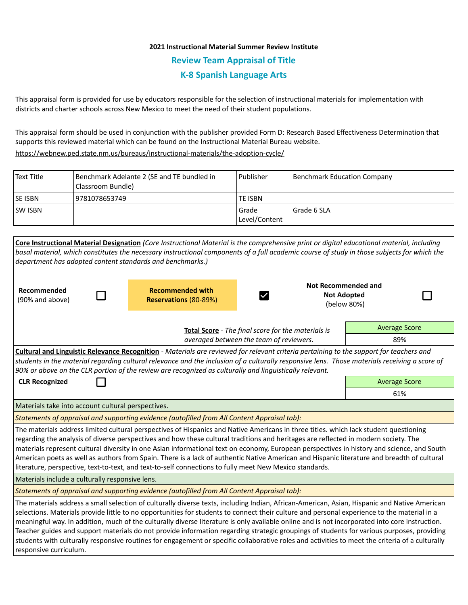# **2021 Instructional Material Summer Review Institute Review Team Appraisal of Title K-8 Spanish Language Arts**

This appraisal form is provided for use by educators responsible for the selection of instructional materials for implementation with districts and charter schools across New Mexico to meet the need of their student populations.

This appraisal form should be used in conjunction with the publisher provided Form D: Research Based Effectiveness Determination that supports this reviewed material which can be found on the Instructional Material Bureau website.

<https://webnew.ped.state.nm.us/bureaus/instructional-materials/the-adoption-cycle/>

| Text Title     | Benchmark Adelante 2 (SE and TE bundled in<br>(Classroom Bundle) | l Publisher              | Benchmark Education Company |
|----------------|------------------------------------------------------------------|--------------------------|-----------------------------|
| <b>SE ISBN</b> | 9781078653749                                                    | <b>TE ISBN</b>           |                             |
| <b>SW ISBN</b> |                                                                  | l Grade<br>Level/Content | Grade 6 SLA                 |

| Core Instructional Material Designation (Core Instructional Material is the comprehensive print or digital educational material, including<br>basal material, which constitutes the necessary instructional components of a full academic course of study in those subjects for which the<br>department has adopted content standards and benchmarks.)                                                                                                                                                                                                                                                                                                                                                                                                                  |                                                  |                                                                 |                      |  |  |  |
|-------------------------------------------------------------------------------------------------------------------------------------------------------------------------------------------------------------------------------------------------------------------------------------------------------------------------------------------------------------------------------------------------------------------------------------------------------------------------------------------------------------------------------------------------------------------------------------------------------------------------------------------------------------------------------------------------------------------------------------------------------------------------|--------------------------------------------------|-----------------------------------------------------------------|----------------------|--|--|--|
| Recommended<br>(90% and above)                                                                                                                                                                                                                                                                                                                                                                                                                                                                                                                                                                                                                                                                                                                                          | <b>Recommended with</b><br>Reservations (80-89%) | <b>Not Recommended and</b><br><b>Not Adopted</b><br>(below 80%) |                      |  |  |  |
| Total Score - The final score for the materials is<br>averaged between the team of reviewers.                                                                                                                                                                                                                                                                                                                                                                                                                                                                                                                                                                                                                                                                           |                                                  |                                                                 | <b>Average Score</b> |  |  |  |
|                                                                                                                                                                                                                                                                                                                                                                                                                                                                                                                                                                                                                                                                                                                                                                         |                                                  |                                                                 | 89%                  |  |  |  |
| Cultural and Linguistic Relevance Recognition - Materials are reviewed for relevant criteria pertaining to the support for teachers and<br>students in the material regarding cultural relevance and the inclusion of a culturally responsive lens. Those materials receiving a score of<br>90% or above on the CLR portion of the review are recognized as culturally and linguistically relevant.                                                                                                                                                                                                                                                                                                                                                                     |                                                  |                                                                 |                      |  |  |  |
| <b>CLR Recognized</b>                                                                                                                                                                                                                                                                                                                                                                                                                                                                                                                                                                                                                                                                                                                                                   | <b>Average Score</b>                             |                                                                 |                      |  |  |  |
|                                                                                                                                                                                                                                                                                                                                                                                                                                                                                                                                                                                                                                                                                                                                                                         |                                                  |                                                                 | 61%                  |  |  |  |
| Materials take into account cultural perspectives.                                                                                                                                                                                                                                                                                                                                                                                                                                                                                                                                                                                                                                                                                                                      |                                                  |                                                                 |                      |  |  |  |
| Statements of appraisal and supporting evidence (autofilled from All Content Appraisal tab):                                                                                                                                                                                                                                                                                                                                                                                                                                                                                                                                                                                                                                                                            |                                                  |                                                                 |                      |  |  |  |
| The materials address limited cultural perspectives of Hispanics and Native Americans in three titles. which lack student questioning<br>regarding the analysis of diverse perspectives and how these cultural traditions and heritages are reflected in modern society. The<br>materials represent cultural diversity in one Asian informational text on economy, European perspectives in history and science, and South<br>American poets as well as authors from Spain. There is a lack of authentic Native American and Hispanic literature and breadth of cultural<br>literature, perspective, text-to-text, and text-to-self connections to fully meet New Mexico standards.                                                                                     |                                                  |                                                                 |                      |  |  |  |
| Materials include a culturally responsive lens.                                                                                                                                                                                                                                                                                                                                                                                                                                                                                                                                                                                                                                                                                                                         |                                                  |                                                                 |                      |  |  |  |
| Statements of appraisal and supporting evidence (autofilled from All Content Appraisal tab):                                                                                                                                                                                                                                                                                                                                                                                                                                                                                                                                                                                                                                                                            |                                                  |                                                                 |                      |  |  |  |
| The materials address a small selection of culturally diverse texts, including Indian, African-American, Asian, Hispanic and Native American<br>selections. Materials provide little to no opportunities for students to connect their culture and personal experience to the material in a<br>meaningful way. In addition, much of the culturally diverse literature is only available online and is not incorporated into core instruction.<br>Teacher guides and support materials do not provide information regarding strategic groupings of students for various purposes, providing<br>students with culturally responsive routines for engagement or specific collaborative roles and activities to meet the criteria of a culturally<br>responsive curriculum. |                                                  |                                                                 |                      |  |  |  |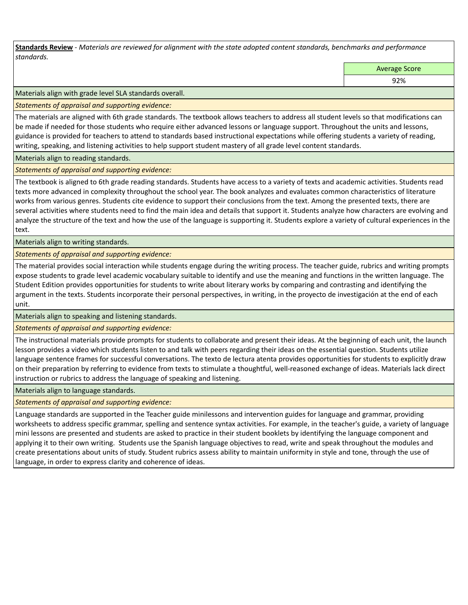**Standards Review** *- Materials are reviewed for alignment with the state adopted content standards, benchmarks and performance standards.*

Average Score

92%

Materials align with grade level SLA standards overall.

*Statements of appraisal and supporting evidence:* 

The materials are aligned with 6th grade standards. The textbook allows teachers to address all student levels so that modifications can be made if needed for those students who require either advanced lessons or language support. Throughout the units and lessons, guidance is provided for teachers to attend to standards based instructional expectations while offering students a variety of reading, writing, speaking, and listening activities to help support student mastery of all grade level content standards.

Materials align to reading standards.

*Statements of appraisal and supporting evidence:* 

The textbook is aligned to 6th grade reading standards. Students have access to a variety of texts and academic activities. Students read texts more advanced in complexity throughout the school year. The book analyzes and evaluates common characteristics of literature works from various genres. Students cite evidence to support their conclusions from the text. Among the presented texts, there are several activities where students need to find the main idea and details that support it. Students analyze how characters are evolving and analyze the structure of the text and how the use of the language is supporting it. Students explore a variety of cultural experiences in the text.

Materials align to writing standards.

*Statements of appraisal and supporting evidence:* 

The material provides social interaction while students engage during the writing process. The teacher guide, rubrics and writing prompts expose students to grade level academic vocabulary suitable to identify and use the meaning and functions in the written language. The Student Edition provides opportunities for students to write about literary works by comparing and contrasting and identifying the argument in the texts. Students incorporate their personal perspectives, in writing, in the proyecto de investigación at the end of each unit.

Materials align to speaking and listening standards.

*Statements of appraisal and supporting evidence:* 

The instructional materials provide prompts for students to collaborate and present their ideas. At the beginning of each unit, the launch lesson provides a video which students listen to and talk with peers regarding their ideas on the essential question. Students utilize language sentence frames for successful conversations. The texto de lectura atenta provides opportunities for students to explicitly draw on their preparation by referring to evidence from texts to stimulate a thoughtful, well-reasoned exchange of ideas. Materials lack direct instruction or rubrics to address the language of speaking and listening.

Materials align to language standards.

*Statements of appraisal and supporting evidence:* 

Language standards are supported in the Teacher guide minilessons and intervention guides for language and grammar, providing worksheets to address specific grammar, spelling and sentence syntax activities. For example, in the teacher's guide, a variety of language mini lessons are presented and students are asked to practice in their student booklets by identifying the language component and applying it to their own writing. Students use the Spanish language objectives to read, write and speak throughout the modules and create presentations about units of study. Student rubrics assess ability to maintain uniformity in style and tone, through the use of language, in order to express clarity and coherence of ideas.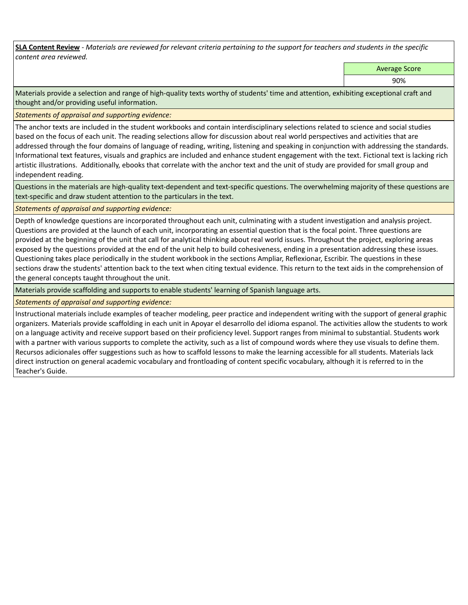**SLA Content Review** *- Materials are reviewed for relevant criteria pertaining to the support for teachers and students in the specific content area reviewed.*

Average Score

90%

Materials provide a selection and range of high-quality texts worthy of students' time and attention, exhibiting exceptional craft and thought and/or providing useful information.

*Statements of appraisal and supporting evidence:* 

The anchor texts are included in the student workbooks and contain interdisciplinary selections related to science and social studies based on the focus of each unit. The reading selections allow for discussion about real world perspectives and activities that are addressed through the four domains of language of reading, writing, listening and speaking in conjunction with addressing the standards. Informational text features, visuals and graphics are included and enhance student engagement with the text. Fictional text is lacking rich artistic illustrations. Additionally, ebooks that correlate with the anchor text and the unit of study are provided for small group and independent reading.

Questions in the materials are high-quality text-dependent and text-specific questions. The overwhelming majority of these questions are text-specific and draw student attention to the particulars in the text.

*Statements of appraisal and supporting evidence:* 

Depth of knowledge questions are incorporated throughout each unit, culminating with a student investigation and analysis project. Questions are provided at the launch of each unit, incorporating an essential question that is the focal point. Three questions are provided at the beginning of the unit that call for analytical thinking about real world issues. Throughout the project, exploring areas exposed by the questions provided at the end of the unit help to build cohesiveness, ending in a presentation addressing these issues. Questioning takes place periodically in the student workbook in the sections Ampliar, Reflexionar, Escribir. The questions in these sections draw the students' attention back to the text when citing textual evidence. This return to the text aids in the comprehension of the general concepts taught throughout the unit.

Materials provide scaffolding and supports to enable students' learning of Spanish language arts.

*Statements of appraisal and supporting evidence:* 

Instructional materials include examples of teacher modeling, peer practice and independent writing with the support of general graphic organizers. Materials provide scaffolding in each unit in Apoyar el desarrollo del idioma espanol. The activities allow the students to work on a language activity and receive support based on their proficiency level. Support ranges from minimal to substantial. Students work with a partner with various supports to complete the activity, such as a list of compound words where they use visuals to define them. Recursos adicionales offer suggestions such as how to scaffold lessons to make the learning accessible for all students. Materials lack direct instruction on general academic vocabulary and frontloading of content specific vocabulary, although it is referred to in the Teacher's Guide.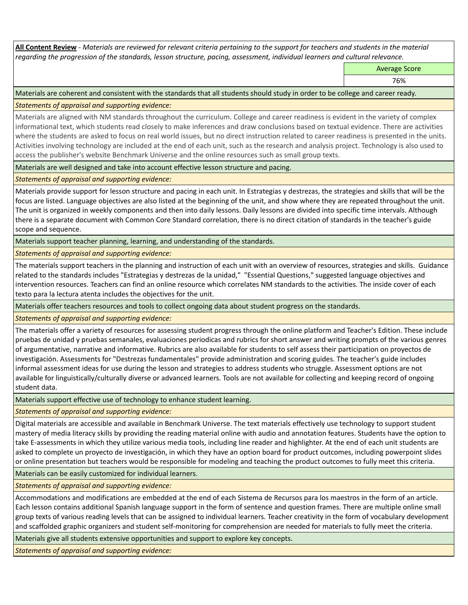**All Content Review** *- Materials are reviewed for relevant criteria pertaining to the support for teachers and students in the material regarding the progression of the standards, lesson structure, pacing, assessment, individual learners and cultural relevance.*

Average Score

76%

Materials are coherent and consistent with the standards that all students should study in order to be college and career ready.

*Statements of appraisal and supporting evidence:*

Materials are aligned with NM standards throughout the curriculum. College and career readiness is evident in the variety of complex informational text, which students read closely to make inferences and draw conclusions based on textual evidence. There are activities where the students are asked to focus on real world issues, but no direct instruction related to career readiness is presented in the units. Activities involving technology are included at the end of each unit, such as the research and analysis project. Technology is also used to access the publisher's website Benchmark Universe and the online resources such as small group texts.

Materials are well designed and take into account effective lesson structure and pacing.

*Statements of appraisal and supporting evidence:*

Materials provide support for lesson structure and pacing in each unit. In Estrategias y destrezas, the strategies and skills that will be the focus are listed. Language objectives are also listed at the beginning of the unit, and show where they are repeated throughout the unit. The unit is organized in weekly components and then into daily lessons. Daily lessons are divided into specific time intervals. Although there is a separate document with Common Core Standard correlation, there is no direct citation of standards in the teacher's guide scope and sequence.

Materials support teacher planning, learning, and understanding of the standards.

*Statements of appraisal and supporting evidence:*

The materials support teachers in the planning and instruction of each unit with an overview of resources, strategies and skills. Guidance related to the standards includes "Estrategias y destrezas de la unidad," "Essential Questions," suggested language objectives and intervention resources. Teachers can find an online resource which correlates NM standards to the activities. The inside cover of each texto para la lectura atenta includes the objectives for the unit.

Materials offer teachers resources and tools to collect ongoing data about student progress on the standards.

*Statements of appraisal and supporting evidence:*

The materials offer a variety of resources for assessing student progress through the online platform and Teacher's Edition. These include pruebas de unidad y pruebas semanales, evaluaciones periodicas and rubrics for short answer and writing prompts of the various genres of argumentative, narrative and informative. Rubrics are also available for students to self assess their participation on proyectos de investigación. Assessments for "Destrezas fundamentales" provide administration and scoring guides. The teacher's guide includes informal assessment ideas for use during the lesson and strategies to address students who struggle. Assessment options are not available for linguistically/culturally diverse or advanced learners. Tools are not available for collecting and keeping record of ongoing student data.

Materials support effective use of technology to enhance student learning.

*Statements of appraisal and supporting evidence:*

Digital materials are accessible and available in Benchmark Universe. The text materials effectively use technology to support student mastery of media literacy skills by providing the reading material online with audio and annotation features. Students have the option to take E-assessments in which they utilize various media tools, including line reader and highlighter. At the end of each unit students are asked to complete un proyecto de investigación, in which they have an option board for product outcomes, including powerpoint slides or online presentation but teachers would be responsible for modeling and teaching the product outcomes to fully meet this criteria.

Materials can be easily customized for individual learners.

*Statements of appraisal and supporting evidence:* 

Accommodations and modifications are embedded at the end of each Sistema de Recursos para los maestros in the form of an article. Each lesson contains additional Spanish language support in the form of sentence and question frames. There are multiple online small group texts of various reading levels that can be assigned to individual learners. Teacher creativity in the form of vocabulary development and scaffolded graphic organizers and student self-monitoring for comprehension are needed for materials to fully meet the criteria.

Materials give all students extensive opportunities and support to explore key concepts.

*Statements of appraisal and supporting evidence:*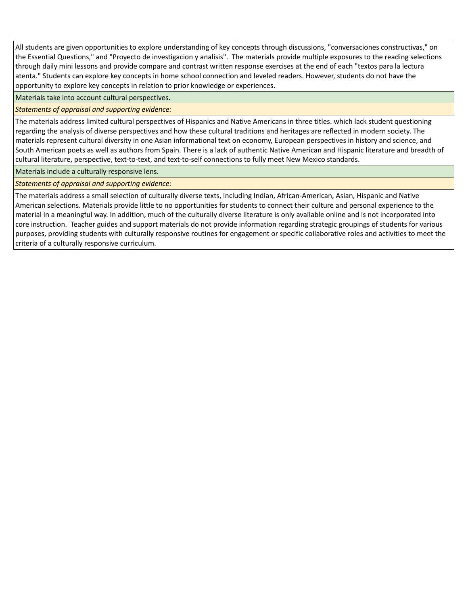All students are given opportunities to explore understanding of key concepts through discussions, "conversaciones constructivas," on the Essential Questions," and "Proyecto de investigacion y analisis". The materials provide multiple exposures to the reading selections through daily mini lessons and provide compare and contrast written response exercises at the end of each "textos para la lectura atenta." Students can explore key concepts in home school connection and leveled readers. However, students do not have the opportunity to explore key concepts in relation to prior knowledge or experiences.

Materials take into account cultural perspectives.

## *Statements of appraisal and supporting evidence:*

The materials address limited cultural perspectives of Hispanics and Native Americans in three titles. which lack student questioning regarding the analysis of diverse perspectives and how these cultural traditions and heritages are reflected in modern society. The materials represent cultural diversity in one Asian informational text on economy, European perspectives in history and science, and South American poets as well as authors from Spain. There is a lack of authentic Native American and Hispanic literature and breadth of cultural literature, perspective, text-to-text, and text-to-self connections to fully meet New Mexico standards.

Materials include a culturally responsive lens.

*Statements of appraisal and supporting evidence:*

The materials address a small selection of culturally diverse texts, including Indian, African-American, Asian, Hispanic and Native American selections. Materials provide little to no opportunities for students to connect their culture and personal experience to the material in a meaningful way. In addition, much of the culturally diverse literature is only available online and is not incorporated into core instruction. Teacher guides and support materials do not provide information regarding strategic groupings of students for various purposes, providing students with culturally responsive routines for engagement or specific collaborative roles and activities to meet the criteria of a culturally responsive curriculum.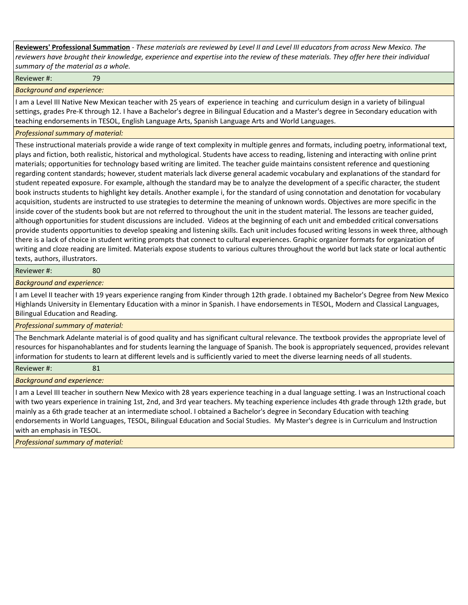**Reviewers' Professional Summation** *- These materials are reviewed by Level II and Level III educators from across New Mexico. The reviewers have brought their knowledge, experience and expertise into the review of these materials. They offer here their individual summary of the material as a whole.*

Reviewer #: 79

*Background and experience:*

I am a Level III Native New Mexican teacher with 25 years of experience in teaching and curriculum design in a variety of bilingual settings, grades Pre-K through 12. I have a Bachelor's degree in Bilingual Education and a Master's degree in Secondary education with teaching endorsements in TESOL, English Language Arts, Spanish Language Arts and World Languages.

## *Professional summary of material:*

These instructional materials provide a wide range of text complexity in multiple genres and formats, including poetry, informational text, plays and fiction, both realistic, historical and mythological. Students have access to reading, listening and interacting with online print materials; opportunities for technology based writing are limited. The teacher guide maintains consistent reference and questioning regarding content standards; however, student materials lack diverse general academic vocabulary and explanations of the standard for student repeated exposure. For example, although the standard may be to analyze the development of a specific character, the student book instructs students to highlight key details. Another example i, for the standard of using connotation and denotation for vocabulary acquisition, students are instructed to use strategies to determine the meaning of unknown words. Objectives are more specific in the inside cover of the students book but are not referred to throughout the unit in the student material. The lessons are teacher guided, although opportunities for student discussions are included. Videos at the beginning of each unit and embedded critical conversations provide students opportunities to develop speaking and listening skills. Each unit includes focused writing lessons in week three, although there is a lack of choice in student writing prompts that connect to cultural experiences. Graphic organizer formats for organization of writing and cloze reading are limited. Materials expose students to various cultures throughout the world but lack state or local authentic texts, authors, illustrators.

### Reviewer #: 80

## *Background and experience:*

I am Level II teacher with 19 years experience ranging from Kinder through 12th grade. I obtained my Bachelor's Degree from New Mexico Highlands University in Elementary Education with a minor in Spanish. I have endorsements in TESOL, Modern and Classical Languages, Bilingual Education and Reading.

*Professional summary of material:*

The Benchmark Adelante material is of good quality and has significant cultural relevance. The textbook provides the appropriate level of resources for hispanohablantes and for students learning the language of Spanish. The book is appropriately sequenced, provides relevant information for students to learn at different levels and is sufficiently varied to meet the diverse learning needs of all students.

Reviewer #: 81

*Background and experience:*

I am a Level III teacher in southern New Mexico with 28 years experience teaching in a dual language setting. I was an Instructional coach with two years experience in training 1st, 2nd, and 3rd year teachers. My teaching experience includes 4th grade through 12th grade, but mainly as a 6th grade teacher at an intermediate school. I obtained a Bachelor's degree in Secondary Education with teaching endorsements in World Languages, TESOL, Bilingual Education and Social Studies. My Master's degree is in Curriculum and Instruction with an emphasis in TESOL.

*Professional summary of material:*